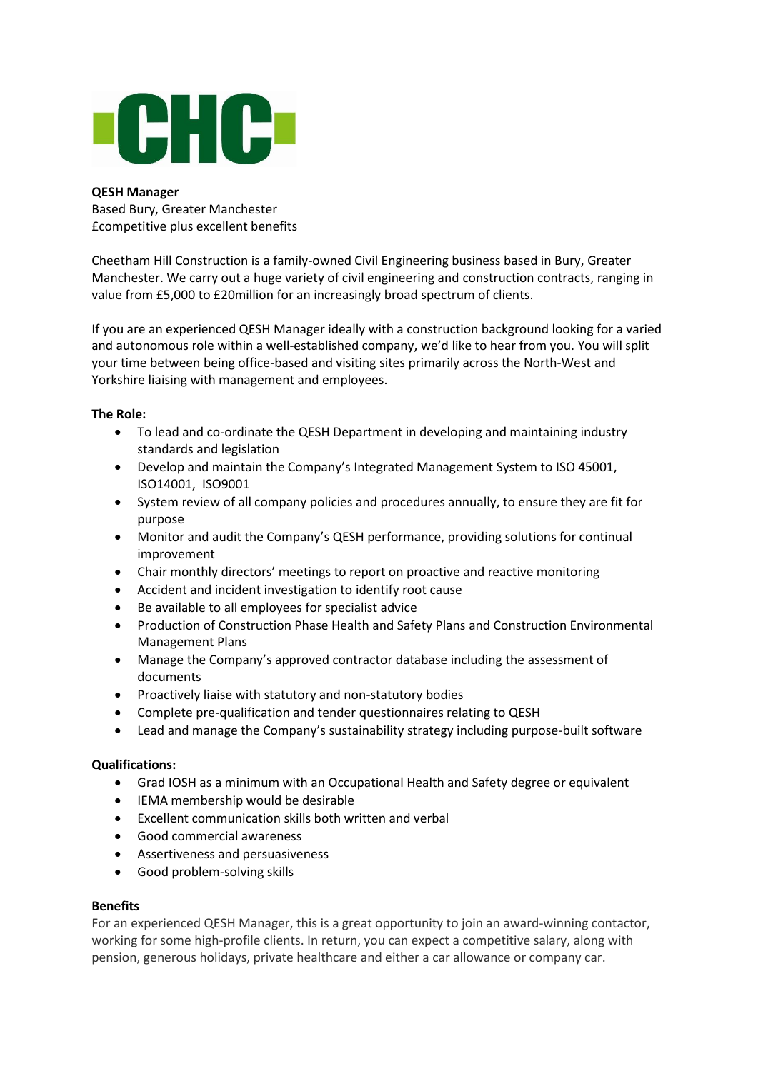

# **QESH Manager**

Based Bury, Greater Manchester £competitive plus excellent benefits

Cheetham Hill Construction is a family-owned Civil Engineering business based in Bury, Greater Manchester. We carry out a huge variety of civil engineering and construction contracts, ranging in value from £5,000 to £20million for an increasingly broad spectrum of clients.

If you are an experienced QESH Manager ideally with a construction background looking for a varied and autonomous role within a well-established company, we'd like to hear from you. You will split your time between being office-based and visiting sites primarily across the North-West and Yorkshire liaising with management and employees.

# **The Role:**

- To lead and co-ordinate the QESH Department in developing and maintaining industry standards and legislation
- Develop and maintain the Company's Integrated Management System to ISO 45001, ISO14001, ISO9001
- System review of all company policies and procedures annually, to ensure they are fit for purpose
- Monitor and audit the Company's QESH performance, providing solutions for continual improvement
- Chair monthly directors' meetings to report on proactive and reactive monitoring
- Accident and incident investigation to identify root cause
- Be available to all employees for specialist advice
- Production of Construction Phase Health and Safety Plans and Construction Environmental Management Plans
- Manage the Company's approved contractor database including the assessment of documents
- Proactively liaise with statutory and non-statutory bodies
- Complete pre-qualification and tender questionnaires relating to QESH
- Lead and manage the Company's sustainability strategy including purpose-built software

### **Qualifications:**

- Grad IOSH as a minimum with an Occupational Health and Safety degree or equivalent
- IEMA membership would be desirable
- Excellent communication skills both written and verbal
- Good commercial awareness
- Assertiveness and persuasiveness
- Good problem-solving skills

### **Benefits**

For an experienced QESH Manager, this is a great opportunity to join an award-winning contactor, working for some high-profile clients. In return, you can expect a competitive salary, along with pension, generous holidays, private healthcare and either a car allowance or company car.